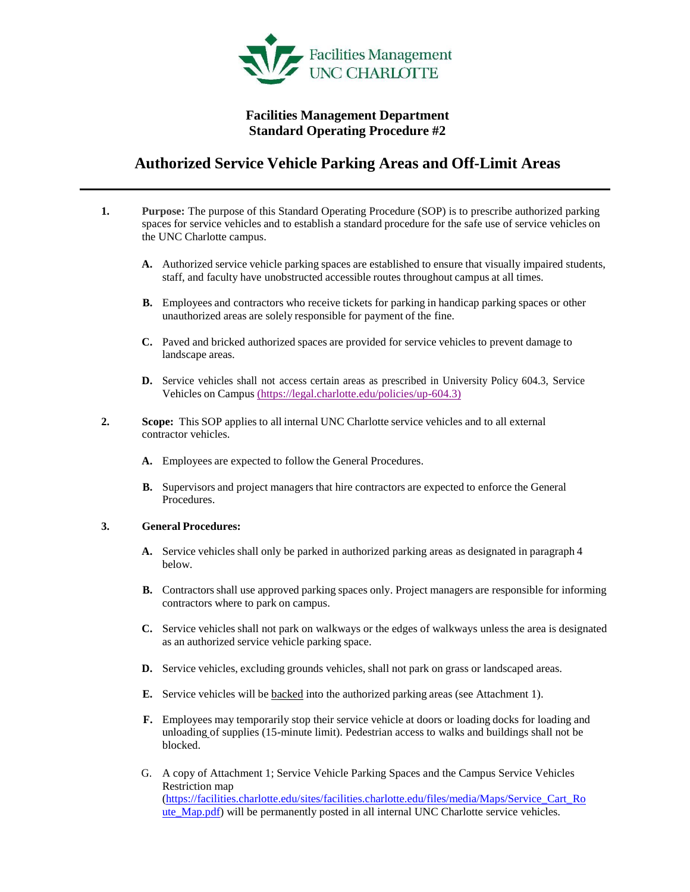

## **Facilities Management Department Standard Operating Procedure #2**

# **Authorized Service Vehicle Parking Areas and Off-Limit Areas**

- **1. Purpose:** The purpose of this Standard Operating Procedure (SOP) is to prescribe authorized parking spaces for service vehicles and to establish a standard procedure for the safe use of service vehicles on the UNC Charlotte campus.
	- **A.** Authorized service vehicle parking spaces are established to ensure that visually impaired students, staff, and faculty have unobstructed accessible routes throughout campus at all times.
	- **B.** Employees and contractors who receive tickets for parking in handicap parking spaces or other unauthorized areas are solely responsible for payment of the fine.
	- **C.** Paved and bricked authorized spaces are provided for service vehicles to prevent damage to landscape areas.
	- **D.** Service vehicles shall not access certain areas as prescribed in University Policy 604.3, Service Vehicles on Campus [\(https://legal.charlotte.edu/policies/up-604.3\)](https://legal.charlotte.edu/policies/up-604.3)
- **2. Scope:** This SOP applies to all internal UNC Charlotte service vehicles and to all external contractor vehicles.
	- **A.** Employees are expected to follow the General Procedures.
	- **B.** Supervisors and project managers that hire contractors are expected to enforce the General Procedures.

#### **3. General Procedures:**

- **A.** Service vehicles shall only be parked in authorized parking areas as designated in paragraph 4 below.
- **B.** Contractors shall use approved parking spaces only. Project managers are responsible for informing contractors where to park on campus.
- **C.** Service vehicles shall not park on walkways or the edges of walkways unless the area is designated as an authorized service vehicle parking space.
- **D.** Service vehicles, excluding grounds vehicles, shall not park on grass or landscaped areas.
- **E.** Service vehicles will be backed into the authorized parking areas (see Attachment 1).
- **F.** Employees may temporarily stop their service vehicle at doors or loading docks for loading and unloading of supplies (15-minute limit). Pedestrian access to walks and buildings shall not be blocked.
- G. A copy of Attachment 1; Service Vehicle Parking Spaces and the Campus Service Vehicles Restriction map [\(https://facilities.charlotte.edu/sites/facilities.charlotte.edu/files/media/Maps/Service\\_Cart\\_Ro](https://facilities.charlotte.edu/sites/facilities.charlotte.edu/files/media/Maps/Service_Cart_Route_Map.pdf) [ute\\_Map.pdf\)](https://facilities.charlotte.edu/sites/facilities.charlotte.edu/files/media/Maps/Service_Cart_Route_Map.pdf) will be permanently posted in all internal UNC Charlotte service vehicles.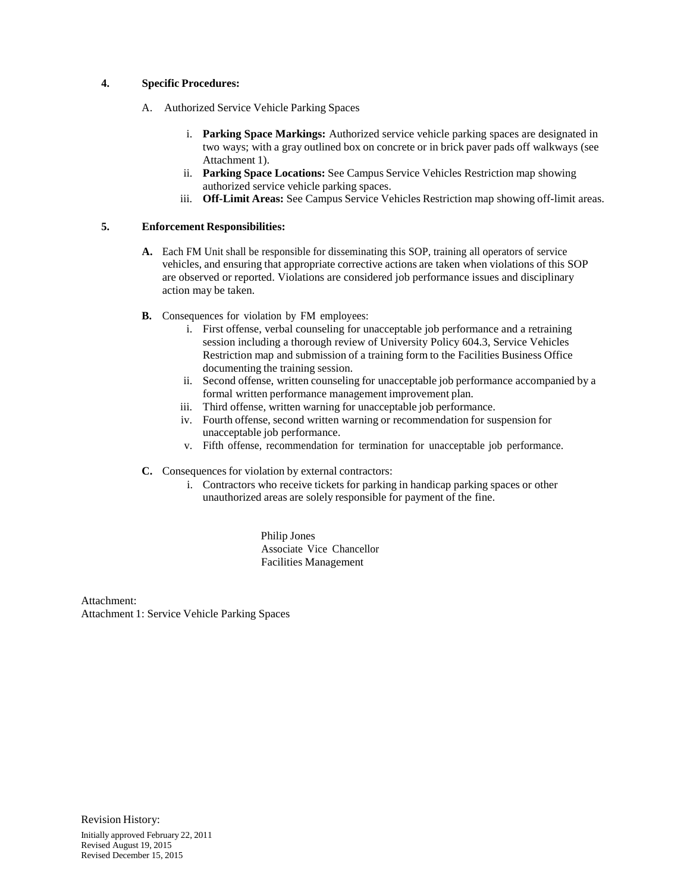#### **4. Specific Procedures:**

- A. Authorized Service Vehicle Parking Spaces
	- i. **Parking Space Markings:** Authorized service vehicle parking spaces are designated in two ways; with a gray outlined box on concrete or in brick paver pads off walkways (see Attachment 1).
	- ii. **Parking Space Locations:** See Campus Service Vehicles Restriction map showing authorized service vehicle parking spaces.
	- iii. **Off-Limit Areas:** See Campus Service Vehicles Restriction map showing off-limit areas.

#### **5. Enforcement Responsibilities:**

- **A.** Each FM Unit shall be responsible for disseminating this SOP, training all operators of service vehicles, and ensuring that appropriate corrective actions are taken when violations of this SOP are observed or reported. Violations are considered job performance issues and disciplinary action may be taken.
- **B.** Consequences for violation by FM employees:
	- i. First offense, verbal counseling for unacceptable job performance and a retraining session including a thorough review of University Policy 604.3, Service Vehicles Restriction map and submission of a training form to the Facilities Business Office documenting the training session.
	- ii. Second offense, written counseling for unacceptable job performance accompanied by a formal written performance management improvement plan.
	- iii. Third offense, written warning for unacceptable job performance.
	- iv. Fourth offense, second written warning or recommendation for suspension for unacceptable job performance.
	- v. Fifth offense, recommendation for termination for unacceptable job performance.
- **C.** Consequences for violation by external contractors:
	- i. Contractors who receive tickets for parking in handicap parking spaces or other unauthorized areas are solely responsible for payment of the fine.

Philip Jones Associate Vice Chancellor Facilities Management

Attachment: Attachment 1: Service Vehicle Parking Spaces